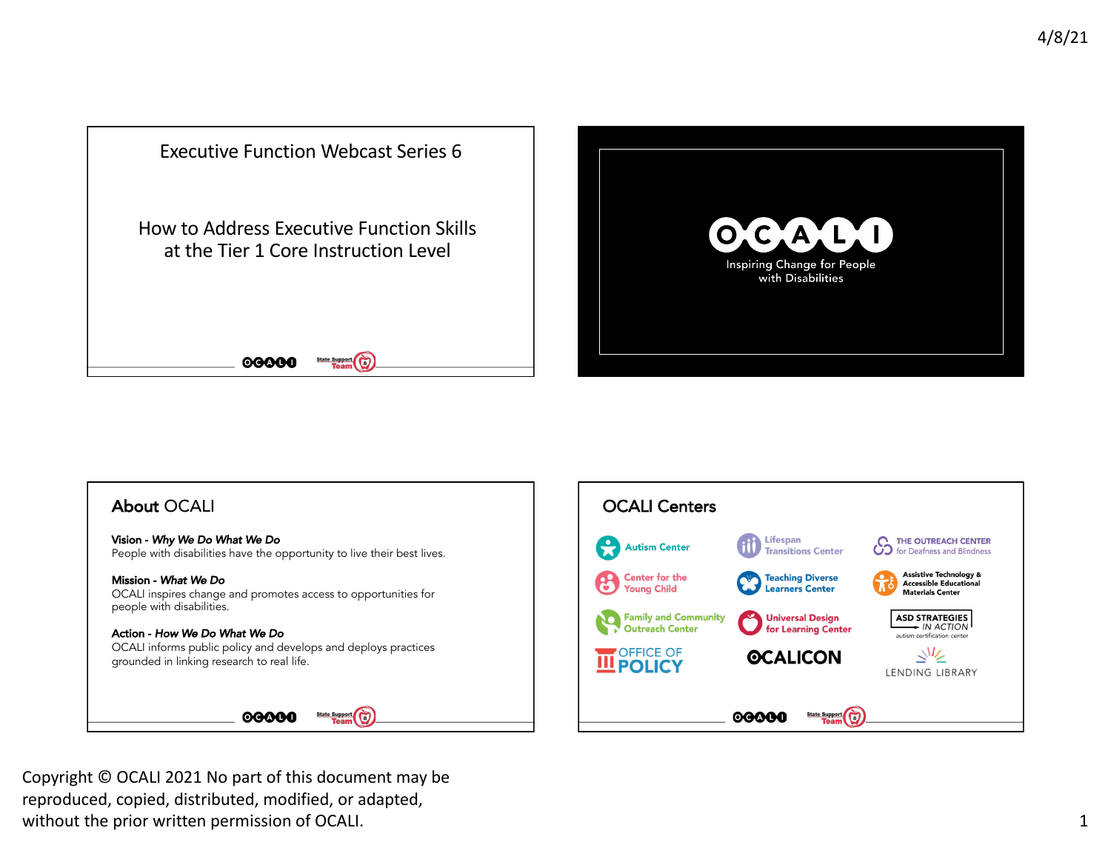







 Copyright © OCALI 2021 No part of this document may be reproduced, copied, distributed, modified, or adapted, without the prior written permission of OCALI.  $\qquad \qquad \qquad 1$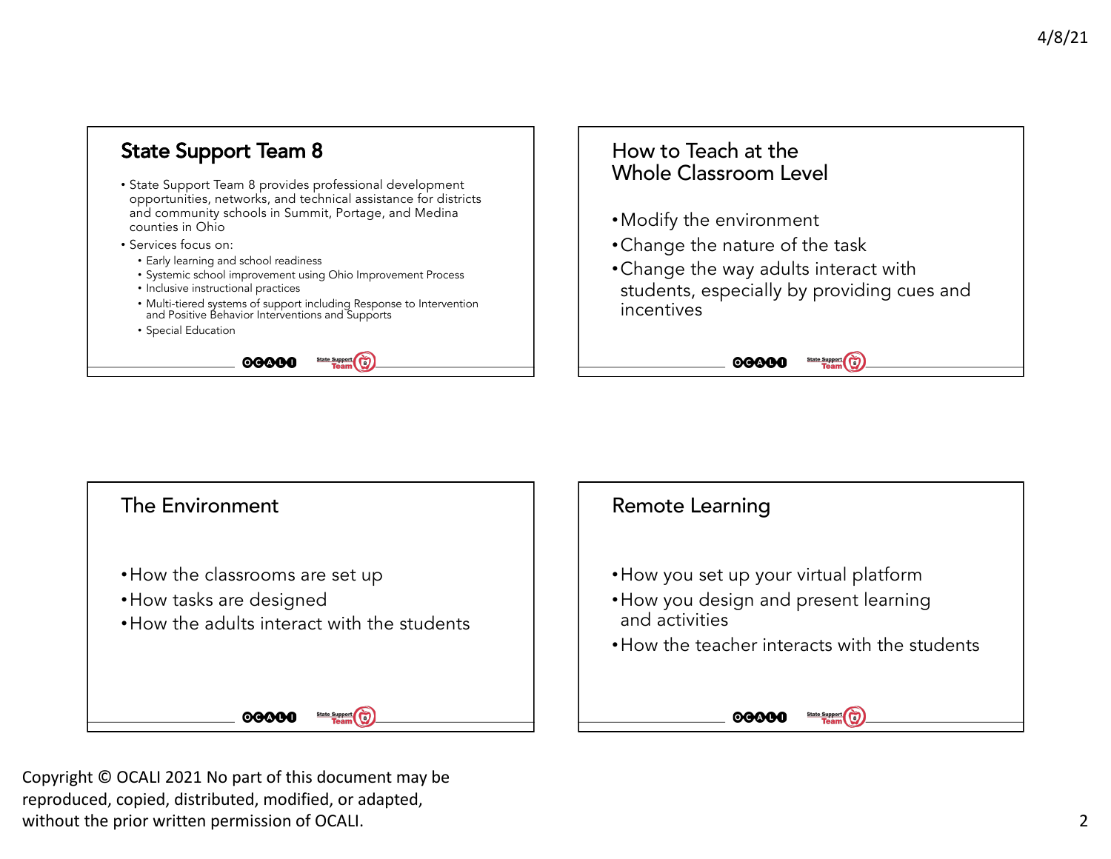



 Copyright © OCALI 2021 No part of this document may be reproduced, copied, distributed, modified, or adapted, without the prior written permission of OCALI. 2002 2022 2023 2024 2028 2024 2024 2028 2024 2028 2024 2028 202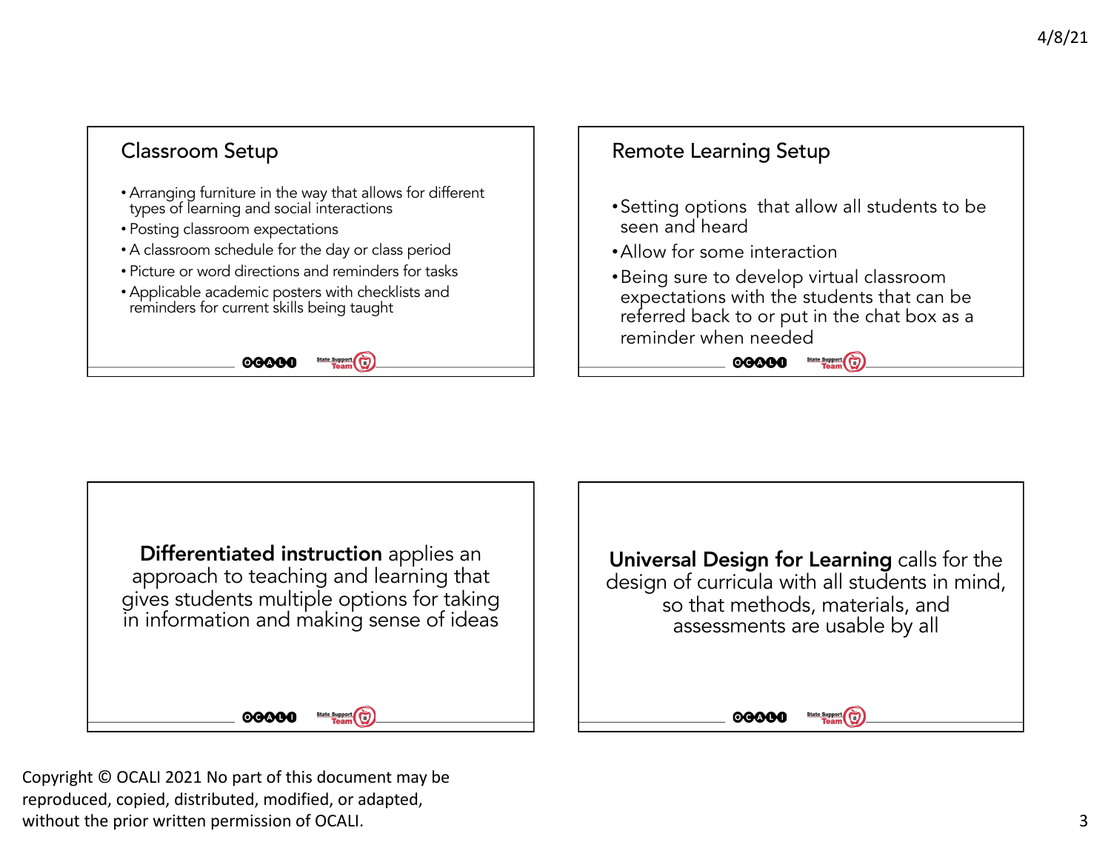



 Copyright © OCALI 2021 No part of this document may be reproduced, copied, distributed, modified, or adapted, without the prior written permission of OCALI.  $\qquad \qquad \qquad$  3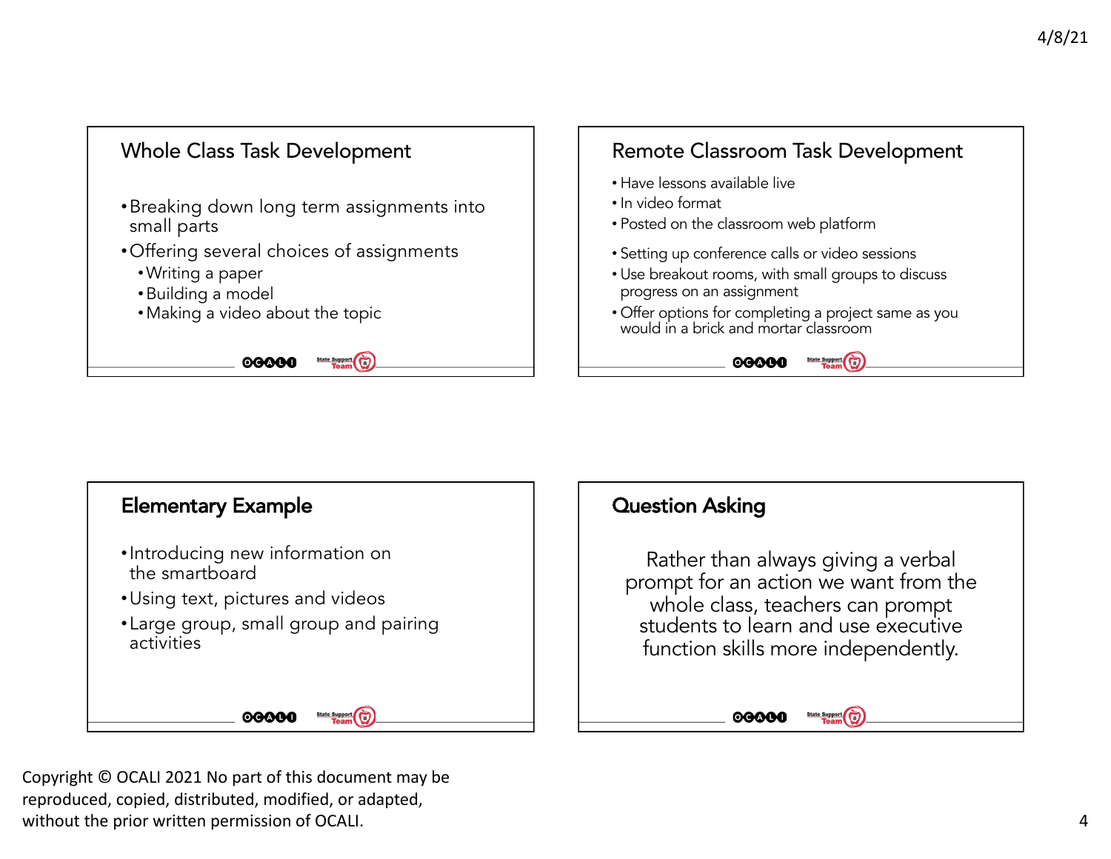



 Copyright © OCALI 2021 No part of this document may be reproduced, copied, distributed, modified, or adapted, without the prior written permission of OCALI.  $\blacksquare$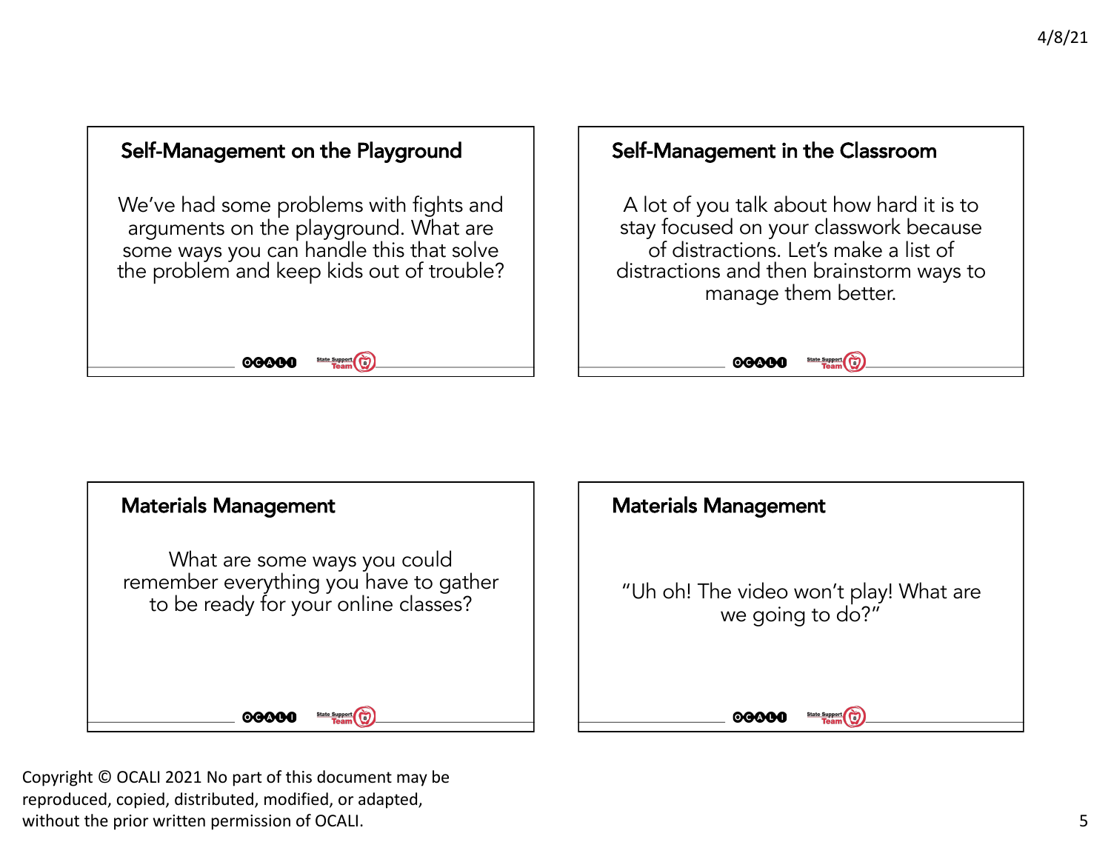



 Copyright © OCALI 2021 No part of this document may be reproduced, copied, distributed, modified, or adapted, without the prior written permission of OCALI. The set of the set of the set of the set of the set of the set of the set of the set of the set of the set of the set of the set of the set of the set of the set of the set of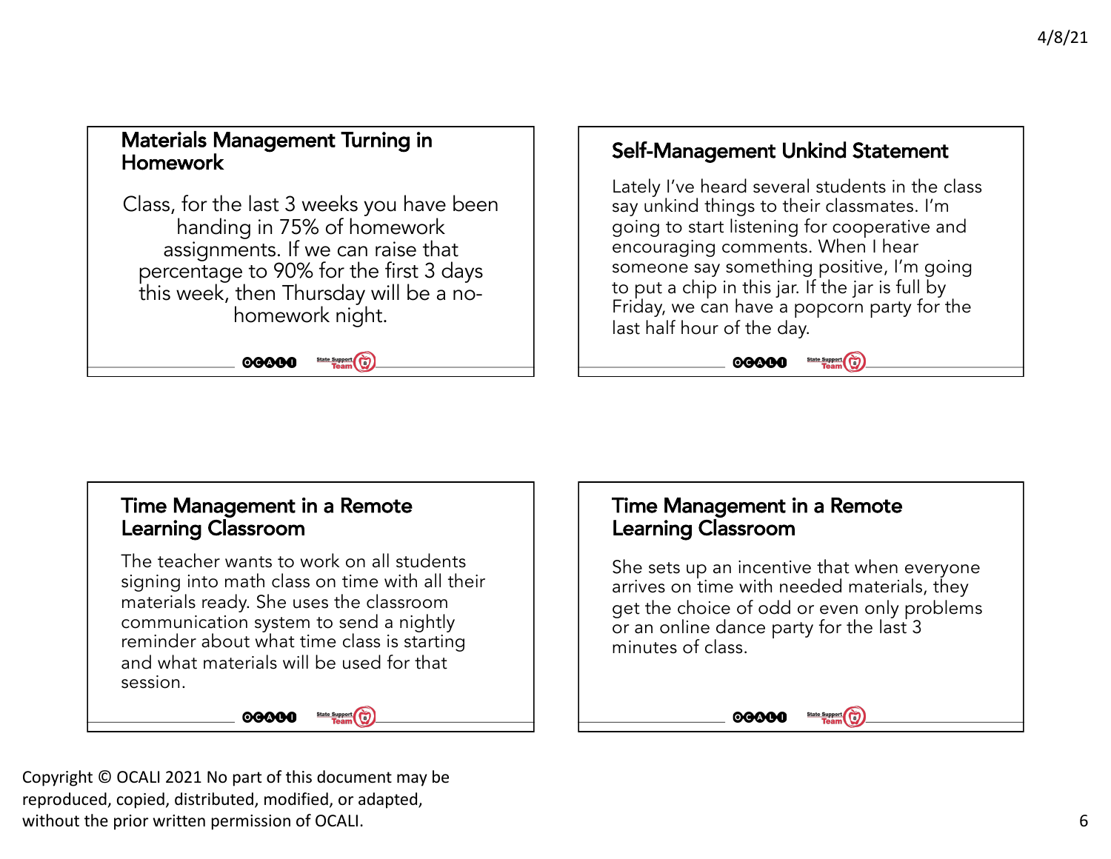## Materials Management Turning in Homework

 Class, for the last 3 weeks you have been handing in 75% of homework assignments. If we can raise that percentage to 90% for the first 3 days this week, then Thursday will be a nohomework night.

> 00000 State Support

## Self-Management Unkind Statement

 Lately I've heard several students in the class say unkind things to their classmates. I'm going to start listening for cooperative and encouraging comments. When I hear someone say something positive, I'm going Friday, we can have a popcorn party for the to put a chip in this jar. If the jar is full by last half hour of the day.

> 00000 State Support

## Time Management in a Remote Learning Classroom

 The teacher wants to work on all students signing into math class on time with all their materials ready. She uses the classroom communication system to send a nightly reminder about what time class is starting and what materials will be used for that session.

00000



 She sets up an incentive that when everyone arrives on time with needed materials, they get the choice of odd or even only problems or an online dance party for the last 3 minutes of class.



 Copyright © OCALI 2021 No part of this document may be reproduced, copied, distributed, modified, or adapted, without the prior written permission of OCALI.  $\qquad \qquad \qquad \textbf{6}$